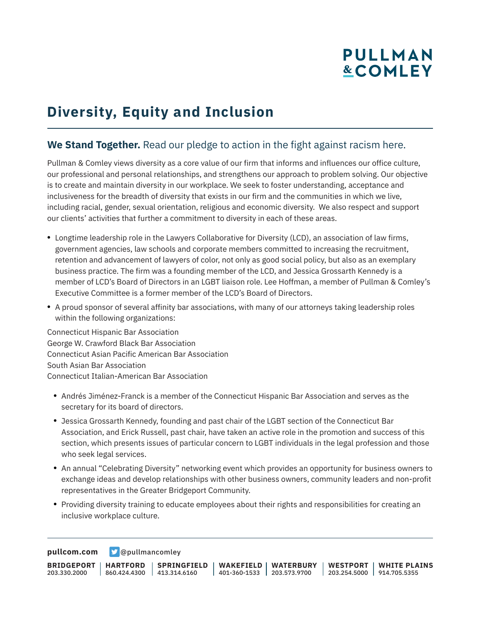# **PULLMAN &COMLEY**

## **Diversity, Equity and Inclusion**

#### **We Stand Together.** Read our pledge to action in the fight against racism here.

Pullman & Comley views diversity as a core value of our firm that informs and influences our office culture, our professional and personal relationships, and strengthens our approach to problem solving. Our objective is to create and maintain diversity in our workplace. We seek to foster understanding, acceptance and inclusiveness for the breadth of diversity that exists in our firm and the communities in which we live, including racial, gender, sexual orientation, religious and economic diversity. We also respect and support our clients' activities that further a commitment to diversity in each of these areas.

- Longtime leadership role in the Lawyers Collaborative for Diversity (LCD), an association of law firms, government agencies, law schools and corporate members committed to increasing the recruitment, retention and advancement of lawyers of color, not only as good social policy, but also as an exemplary business practice. The firm was a founding member of the LCD, and Jessica Grossarth Kennedy is a member of LCD's Board of Directors in an LGBT liaison role. Lee Hoffman, a member of Pullman & Comley's Executive Committee is a former member of the LCD's Board of Directors.
- A proud sponsor of several affinity bar associations, with many of our attorneys taking leadership roles within the following organizations:

Connecticut Hispanic Bar Association George W. Crawford Black Bar Association Connecticut Asian Pacific American Bar Association South Asian Bar Association Connecticut Italian-American Bar Association

- Andrés Jiménez-Franck is a member of the Connecticut Hispanic Bar Association and serves as the secretary for its board of directors.
- Jessica Grossarth Kennedy, founding and past chair of the LGBT section of the Connecticut Bar Association, and Erick Russell, past chair, have taken an active role in the promotion and success of this section, which presents issues of particular concern to LGBT individuals in the legal profession and those who seek legal services.
- An annual "Celebrating Diversity" networking event which provides an opportunity for business owners to exchange ideas and develop relationships with other business owners, community leaders and non-profit representatives in the Greater Bridgeport Community.
- Providing diversity training to educate employees about their rights and responsibilities for creating an inclusive workplace culture.

**[pullcom.com](https://www.pullcom.com) g** [@pullmancomley](https://twitter.com/PullmanComley)

**BRIDGEPORT HARTFORD** 203.330.2000 860.424.4300 413.314.6160 **SPRINGFIELD WAKEFIELD WATERBURY** 401-360-1533 203.573.9700 **WESTPORT WHITE PLAINS** 203.254.5000 914.705.5355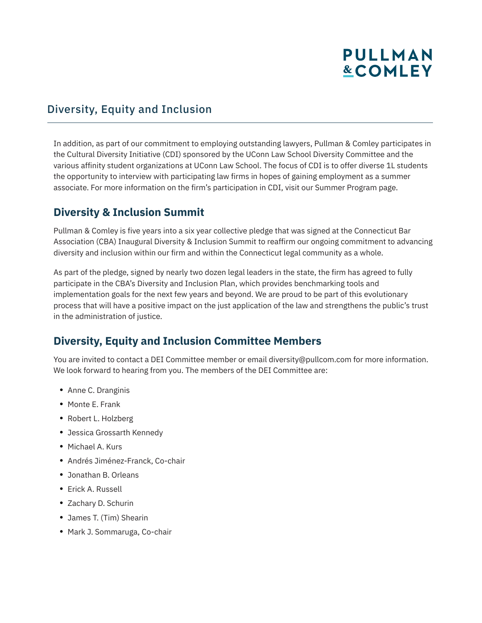## **PULLMAN &COMLEY**

### Diversity, Equity and Inclusion

In addition, as part of our commitment to employing outstanding lawyers, Pullman & Comley participates in the Cultural Diversity Initiative (CDI) sponsored by the UConn Law School Diversity Committee and the various affinity student organizations at UConn Law School. The focus of CDI is to offer diverse 1L students the opportunity to interview with participating law firms in hopes of gaining employment as a summer associate. For more information on the firm's participation in CDI, visit our Summer Program page.

#### **Diversity & Inclusion Summit**

Pullman & Comley is five years into a six year collective pledge that was signed at the Connecticut Bar Association (CBA) Inaugural Diversity & Inclusion Summit to reaffirm our ongoing commitment to advancing diversity and inclusion within our firm and within the Connecticut legal community as a whole.

As part of the pledge, signed by nearly two dozen legal leaders in the state, the firm has agreed to fully participate in the CBA's Diversity and Inclusion Plan, which provides benchmarking tools and implementation goals for the next few years and beyond. We are proud to be part of this evolutionary process that will have a positive impact on the just application of the law and strengthens the public's trust in the administration of justice.

### **Diversity, Equity and Inclusion Committee Members**

You are invited to contact a DEI Committee member or email diversity@pullcom.com for more information. We look forward to hearing from you. The members of the DEI Committee are:

- Anne C. Dranginis
- Monte E. Frank
- Robert L. Holzberg
- Jessica Grossarth Kennedy
- Michael A. Kurs
- Andrés Jiménez-Franck, Co-chair
- Jonathan B. Orleans
- Erick A. Russell
- Zachary D. Schurin
- James T. (Tim) Shearin
- Mark J. Sommaruga, Co-chair